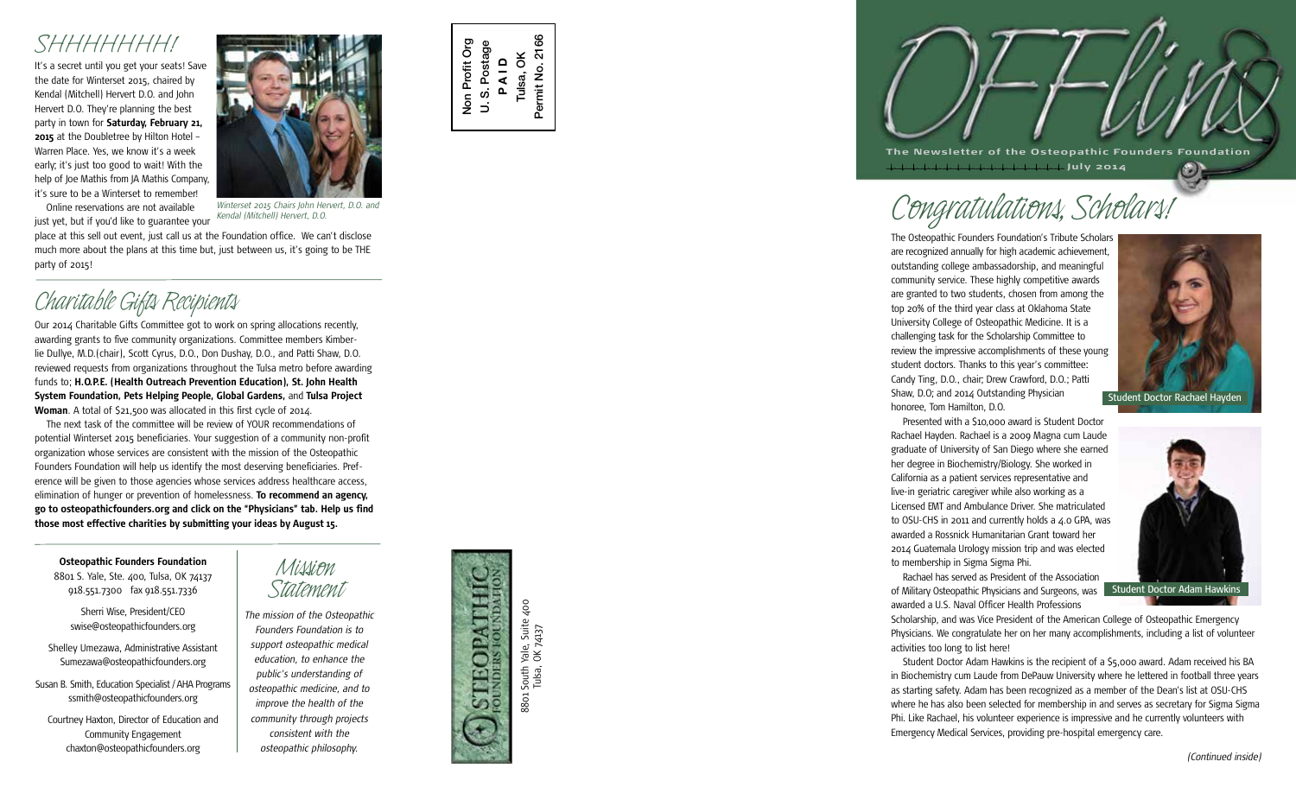It's a secret until you get your seats! Save *SHHHHHHH!* the date for Winterset 2015, chaired by Kendal (Mitchell) Hervert D.O. and John Hervert D.O. They're planning the best party in town for **Saturday, February 21, 2015** at the Doubletree by Hilton Hotel – Warren Place. Yes, we know it's a week early; it's just too good to wait! With the help of Joe Mathis from JA Mathis Company, it's sure to be a Winterset to remember! Online reservations are not available



just yet, but if you'd like to guarantee your *Winterset 2015 Chairs John Hervert, D.O. and Kendal (Mitchell) Hervert, D.O.*

place at this sell out event, just call us at the Foundation office. We can't disclose much more about the plans at this time but, just between us, it's going to be THE party of 2015!

C*river UNUS IV* Original Teccupient Martin Scribing allocations recently,  $\alpha$ awarding grants to five community organizations. Committee members Kimber lie Dullye, M.D.(chair), Scott Cyrus, D.O., Don Dushay, D.O., and Patti Shaw, D.O. reviewed requests from organizations throughout the Tulsa metro before awarding funds to; **H.O.P.E. (Health Outreach Prevention Education), St. John Health System Foundation, Pets Helping People, Global Gardens,** and **Tulsa Project Woman**. A total of \$21,500 was allocated in this first cycle of 2014.

The next task of the committee will be review of YOUR recommendations of potential Winterset 2015 beneficiaries. Your suggestion of a community non-profit organization whose services are consistent with the mission of the Osteopathic Founders Foundation will help us identify the most deserving beneficiaries. Pref erence will be given to those agencies whose services address healthcare access, elimination of hunger or prevention of homelessness. **To recommend an agency, go to osteopathicfounders.org and click on the "Physicians" tab. Help us find those most effective charities by submitting your ideas by August 15.**

**Osteopathic Founders Foundation**

8801 S. Yale, Ste. 400, Tulsa, OK 74137 918.551.7300 fax 918.551.7336

Sherri Wise, President/CEO swise@osteopathicfounders.org

Shelley Umezawa, Administrative Assistant Sumezawa@osteopathicfounders.org

Susan B. Smith, Education Specialist / AHA Programs ssmith@osteopathicfounders.org

Courtney Haxton, Director of Education and Community Engagement chaxton@osteopathicfounders.org

# *Mission*

*Statement The mission of the Osteopathic Founders Foundation is to support osteopathic medical education, to enhance the public's understanding of osteopathic medicine, and to improve the health of the community through projects consistent with the osteopathic philosophy.*

South Yale, Suite 400<br>Tulsa, OK 74137 8801 South Yale, Suite 400 AdDE 8801

Non Profit Org U. S. Postage **P A I D** Tulsa, OK Permit No. 2166

 $\overline{a}$ 

Non Profit Org S. Postage 2166

Permit No.

Tulsa, OK 74137



 **July 2014**

# *Congratulations, Scholars!*

The Osteopathic Founders Foundation's Tribute Scholars are recognized annually for high academic achievement, outstanding college ambassadorship, and meaningful community service. These highly competitive awards are granted to two students, chosen from among the top 20% of the third year class at Oklahoma State University College of Osteopathic Medicine. It is a challenging task for the Scholarship Committee to review the impressive accomplishments of these young student doctors. Thanks to this year's committee: Candy Ting, D.O., chair; Drew Crawford, D.O.; Patti Shaw, D.O; and 2014 Outstanding Physician honoree, Tom Hamilton, D.O.



 $\odot$ 

Presented with a \$10,000 award is Student Doctor Rachael Hayden. Rachael is a 2009 Magna cum Laude graduate of University of San Diego where she earned her degree in Biochemistry/Biology. She worked in California as a patient services representative and live-in geriatric caregiver while also working as a Licensed EMT and Ambulance Driver. She matriculated to OSU-CHS in 2011 and currently holds a 4.0 GPA, was awarded a Rossnick Humanitarian Grant toward her 2014 Guatemala Urology mission trip and was elected to membership in Sigma Sigma Phi.

Rachael has served as President of the Association of Military Osteopathic Physicians and Surgeons, was Student Doctor Adam Hawkins awarded a U.S. Naval Officer Health Professions



Scholarship, and was Vice President of the American College of Osteopathic Emergency Physicians. We congratulate her on her many accomplishments, including a list of volunteer activities too long to list here!

Student Doctor Adam Hawkins is the recipient of a \$5,000 award. Adam received his BA in Biochemistry cum Laude from DePauw University where he lettered in football three years as starting safety. Adam has been recognized as a member of the Dean's list at OSU-CHS where he has also been selected for membership in and serves as secretary for Sigma Sigma Phi. Like Rachael, his volunteer experience is impressive and he currently volunteers with Emergency Medical Services, providing pre-hospital emergency care.